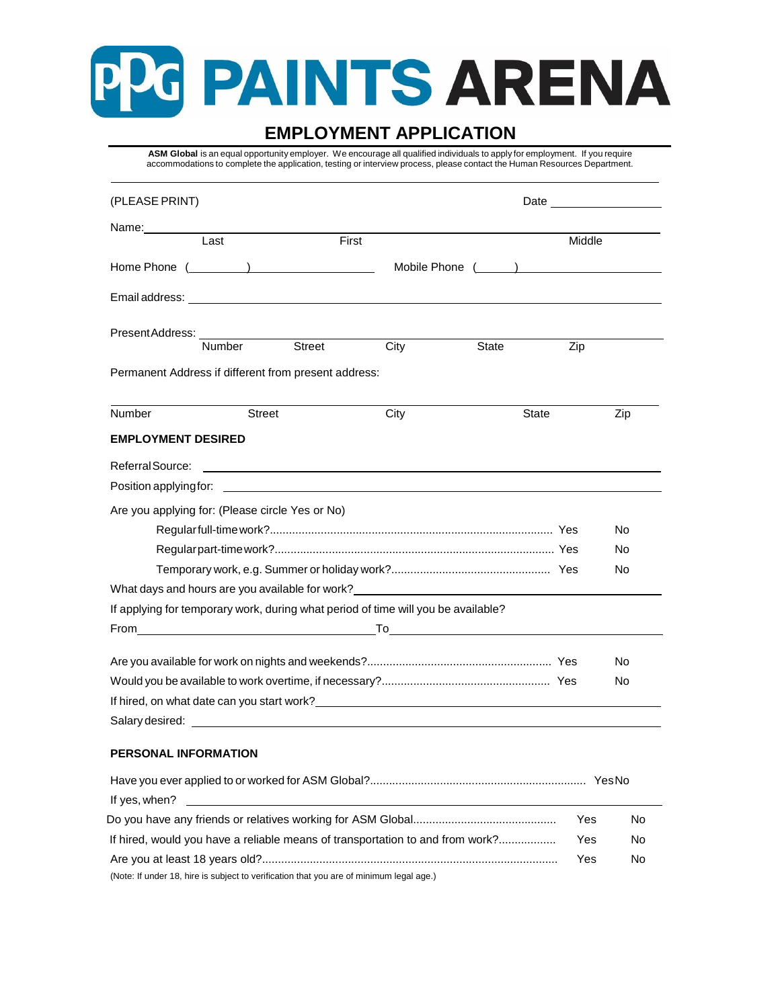# G PAINTS ARENA

## **EMPLOYMENT APPLICATION**

**ASM Global** is an equal opportunity employer. We encourage all qualified individuals to apply for employment. If you require accommodations to complete the application, testing or interview process, please contact the Human Resources Department.

| (PLEASE PRINT)                                                                                                                                                                                                                   |               |        |                                                                                                                                                                                                                                      |                                                                                                                                                                                                                                |        |           |
|----------------------------------------------------------------------------------------------------------------------------------------------------------------------------------------------------------------------------------|---------------|--------|--------------------------------------------------------------------------------------------------------------------------------------------------------------------------------------------------------------------------------------|--------------------------------------------------------------------------------------------------------------------------------------------------------------------------------------------------------------------------------|--------|-----------|
| Name: <b>Name</b>                                                                                                                                                                                                                |               |        |                                                                                                                                                                                                                                      |                                                                                                                                                                                                                                |        |           |
|                                                                                                                                                                                                                                  | Last          | First  |                                                                                                                                                                                                                                      |                                                                                                                                                                                                                                | Middle |           |
|                                                                                                                                                                                                                                  |               |        |                                                                                                                                                                                                                                      | Mobile Phone (Australian Communication of the Mobile Phone (Australian Communication of the Mobile Communication of the Mobile Communication of the Mobile Communication of the Communication of the Communication of the Comm |        |           |
|                                                                                                                                                                                                                                  |               |        |                                                                                                                                                                                                                                      |                                                                                                                                                                                                                                |        |           |
| PresentAddress:                                                                                                                                                                                                                  |               |        |                                                                                                                                                                                                                                      |                                                                                                                                                                                                                                |        |           |
|                                                                                                                                                                                                                                  | <b>Number</b> | Street | City                                                                                                                                                                                                                                 | State                                                                                                                                                                                                                          | Zip    |           |
| Permanent Address if different from present address:                                                                                                                                                                             |               |        |                                                                                                                                                                                                                                      |                                                                                                                                                                                                                                |        |           |
| <b>Number</b>                                                                                                                                                                                                                    | <b>Street</b> |        | City                                                                                                                                                                                                                                 |                                                                                                                                                                                                                                | State  | Zip       |
| <b>EMPLOYMENT DESIRED</b>                                                                                                                                                                                                        |               |        |                                                                                                                                                                                                                                      |                                                                                                                                                                                                                                |        |           |
| Referral Source:                                                                                                                                                                                                                 |               |        |                                                                                                                                                                                                                                      |                                                                                                                                                                                                                                |        |           |
|                                                                                                                                                                                                                                  |               |        |                                                                                                                                                                                                                                      |                                                                                                                                                                                                                                |        |           |
| Are you applying for: (Please circle Yes or No)                                                                                                                                                                                  |               |        |                                                                                                                                                                                                                                      |                                                                                                                                                                                                                                |        |           |
|                                                                                                                                                                                                                                  |               |        |                                                                                                                                                                                                                                      |                                                                                                                                                                                                                                |        | No        |
|                                                                                                                                                                                                                                  |               |        |                                                                                                                                                                                                                                      |                                                                                                                                                                                                                                |        | No        |
|                                                                                                                                                                                                                                  |               |        |                                                                                                                                                                                                                                      |                                                                                                                                                                                                                                |        | No        |
|                                                                                                                                                                                                                                  |               |        |                                                                                                                                                                                                                                      |                                                                                                                                                                                                                                |        |           |
| If applying for temporary work, during what period of time will you be available?                                                                                                                                                |               |        |                                                                                                                                                                                                                                      |                                                                                                                                                                                                                                |        |           |
| From                                                                                                                                                                                                                             |               |        | <u>the contract of the contract of the contract of the contract of the contract of the contract of the contract of the contract of the contract of the contract of the contract of the contract of the contract of the contract </u> |                                                                                                                                                                                                                                |        |           |
|                                                                                                                                                                                                                                  |               |        |                                                                                                                                                                                                                                      |                                                                                                                                                                                                                                |        | No        |
|                                                                                                                                                                                                                                  |               |        |                                                                                                                                                                                                                                      |                                                                                                                                                                                                                                |        | No        |
| If hired, on what date can you start work?<br>The same start work and the start work of the start work of the start of the start work of the start of the start work of the start work of the start work of the start work of th |               |        |                                                                                                                                                                                                                                      |                                                                                                                                                                                                                                |        |           |
| Salary desired: the contract of the contract of the contract of the contract of the contract of the contract of the contract of the contract of the contract of the contract of the contract of the contract of the contract o   |               |        |                                                                                                                                                                                                                                      |                                                                                                                                                                                                                                |        |           |
| PERSONAL INFORMATION                                                                                                                                                                                                             |               |        |                                                                                                                                                                                                                                      |                                                                                                                                                                                                                                |        |           |
|                                                                                                                                                                                                                                  |               |        |                                                                                                                                                                                                                                      |                                                                                                                                                                                                                                |        |           |
| If yes, when?                                                                                                                                                                                                                    |               |        |                                                                                                                                                                                                                                      |                                                                                                                                                                                                                                |        |           |
|                                                                                                                                                                                                                                  |               |        |                                                                                                                                                                                                                                      |                                                                                                                                                                                                                                | Yes    | <b>No</b> |
| If hired, would you have a reliable means of transportation to and from work?                                                                                                                                                    |               |        |                                                                                                                                                                                                                                      |                                                                                                                                                                                                                                | Yes    | No        |
|                                                                                                                                                                                                                                  |               |        |                                                                                                                                                                                                                                      |                                                                                                                                                                                                                                | Yes    | No        |

(Note: If under 18, hire is subject to verification that you are of minimum legal age.)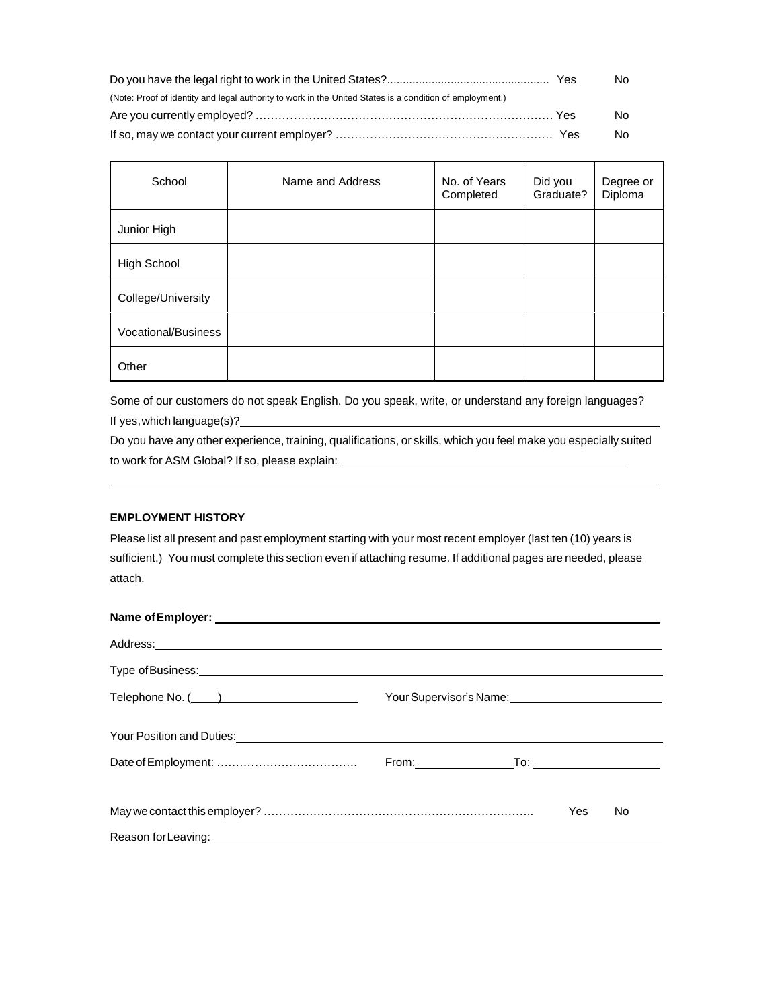|                                                                                                          | No |
|----------------------------------------------------------------------------------------------------------|----|
| (Note: Proof of identity and legal authority to work in the United States is a condition of employment.) |    |
|                                                                                                          | No |
|                                                                                                          | No |

| School                     | Name and Address | No. of Years<br>Completed | Did you<br>Graduate? | Degree or<br>Diploma |
|----------------------------|------------------|---------------------------|----------------------|----------------------|
| Junior High                |                  |                           |                      |                      |
| High School                |                  |                           |                      |                      |
| College/University         |                  |                           |                      |                      |
| <b>Vocational/Business</b> |                  |                           |                      |                      |
| Other                      |                  |                           |                      |                      |

Some of our customers do not speak English. Do you speak, write, or understand any foreign languages? If yes, which language(s)?

Do you have any other experience, training, qualifications, or skills, which you feel make you especially suited to work for ASM Global? If so, please explain:

#### **EMPLOYMENT HISTORY**

Please list all present and past employment starting with your most recent employer (last ten (10) years is sufficient.) You must complete this section even if attaching resume. If additional pages are needed, please attach.

| Name of Employer: example and a series of the series of the series of the series of the series of the series of the series of the series of the series of the series of the series of the series of the series of the series o       |                                                                                                                                                                                                                                |     |                                 |
|--------------------------------------------------------------------------------------------------------------------------------------------------------------------------------------------------------------------------------------|--------------------------------------------------------------------------------------------------------------------------------------------------------------------------------------------------------------------------------|-----|---------------------------------|
| Address: <u>contract and a series of the series of the series of the series of the series of the series of the series of the series of the series of the series of the series of the series of the series of the series of the s</u> |                                                                                                                                                                                                                                |     |                                 |
|                                                                                                                                                                                                                                      |                                                                                                                                                                                                                                |     |                                 |
|                                                                                                                                                                                                                                      | Your Supervisor's Name: \\sqrt{\\sqrt{\sqrt{\sqrt{\sqrt{\sqrt{\sqrt{\sqrt{\sqrt{\sqrt{\sqrt{\sqrt{\sqrt{\sqrt{\sqrt{\sqrt{\sqrt{\sqrt{\sqrt{\sqrt{\sqrt{\sqrt{\sqrt{\sqrt{\sqrt{\sqrt{\sqrt{\sqrt{\sqrt{\sqrt{\sqrt{\sqrt{\sqr |     |                                 |
| Your Position and Duties: Notified that the state of the state of the state of the state of the state of the state of the state of the state of the state of the state of the state of the state of the state of the state of        |                                                                                                                                                                                                                                |     |                                 |
|                                                                                                                                                                                                                                      |                                                                                                                                                                                                                                |     | _To: __________________________ |
|                                                                                                                                                                                                                                      |                                                                                                                                                                                                                                | Yes | No.                             |
| Reason for Leaving: Note and the Contract of the Contract of the Contract of the Contract of the Contract of the Contract of the Contract of the Contract of the Contract of the Contract of the Contract of the Contract of t       |                                                                                                                                                                                                                                |     |                                 |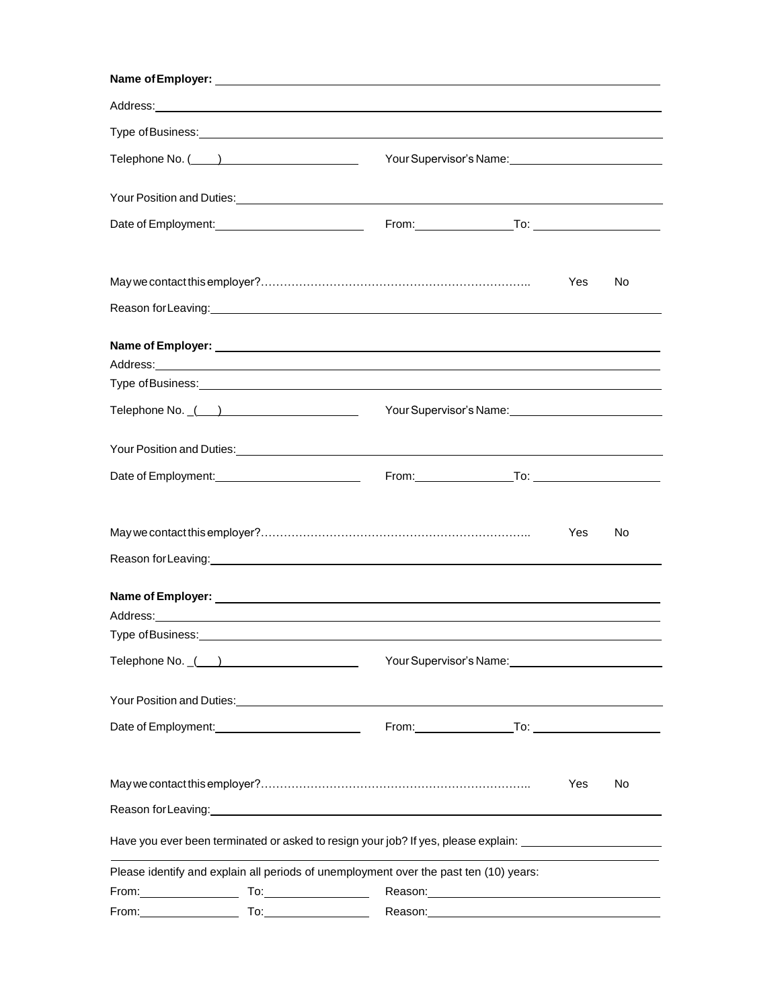|                                                                                                                                                   |  | Your Supervisor's Name: Van American American American American American American American American                                                                                                                                  |     |    |
|---------------------------------------------------------------------------------------------------------------------------------------------------|--|--------------------------------------------------------------------------------------------------------------------------------------------------------------------------------------------------------------------------------------|-----|----|
|                                                                                                                                                   |  | Your Position and Duties: Notice of the Contract of the Contract of the Contract of the Contract of the Contract of the Contract of the Contract of the Contract of the Contract of the Contract of the Contract of the Contra       |     |    |
| Date of Employment: _____________________________                                                                                                 |  |                                                                                                                                                                                                                                      |     |    |
|                                                                                                                                                   |  |                                                                                                                                                                                                                                      | Yes | No |
|                                                                                                                                                   |  |                                                                                                                                                                                                                                      |     |    |
|                                                                                                                                                   |  |                                                                                                                                                                                                                                      |     |    |
|                                                                                                                                                   |  |                                                                                                                                                                                                                                      |     |    |
| Telephone No. $($ $)$                                                                                                                             |  | Your Supervisor's Name: Van American American American American American American                                                                                                                                                    |     |    |
|                                                                                                                                                   |  |                                                                                                                                                                                                                                      |     |    |
|                                                                                                                                                   |  |                                                                                                                                                                                                                                      |     |    |
|                                                                                                                                                   |  |                                                                                                                                                                                                                                      | Yes | No |
|                                                                                                                                                   |  | Reason for Leaving: <u>contained a series and a series of the series and a series of the series and a series of the series of the series of the series of the series of the series of the series of the series of the series of </u> |     |    |
|                                                                                                                                                   |  | Address: Note that the contract of the contract of the contract of the contract of the contract of the contract of the contract of the contract of the contract of the contract of the contract of the contract of the contrac       |     |    |
|                                                                                                                                                   |  | Type of Business: Note and Separate and Separate and Separate and Separate and Separate and Separate and Separate and Separate and Separate and Separate and Separate and Separate and Separate and Separate and Separate and        |     |    |
| Telephone No. ()                                                                                                                                  |  | Your Supervisor's Name: Vour Supervisor's Name:                                                                                                                                                                                      |     |    |
|                                                                                                                                                   |  | Your Position and Duties: Van Anti-American Control of The Control of The Control of The Control of The Control of The Control of The Control of The Control of The Control of The Control of The Control of The Control of Th       |     |    |
|                                                                                                                                                   |  |                                                                                                                                                                                                                                      |     |    |
|                                                                                                                                                   |  |                                                                                                                                                                                                                                      | Yes | No |
|                                                                                                                                                   |  | Reason for Leaving: <u>contained a manual contract of the set of the set of the set of the set of the set of the set of the set of the set of the set of the set of the set of the set of the set of the set of the set of the s</u> |     |    |
|                                                                                                                                                   |  | Have you ever been terminated or asked to resign your job? If yes, please explain: ________________                                                                                                                                  |     |    |
|                                                                                                                                                   |  | Please identify and explain all periods of unemployment over the past ten (10) years:                                                                                                                                                |     |    |
| From: $\begin{bmatrix} 1 & 1 & 1 \\ 1 & 1 & 1 \\ 1 & 1 & 1 \end{bmatrix}$ To: $\begin{bmatrix} 1 & 1 & 1 \\ 1 & 1 & 1 \\ 1 & 1 & 1 \end{bmatrix}$ |  | Reason: Network and the settlement of the settlement of the settlement of the settlement of the settlement of the settlement of the settlement of the settlement of the settlement of the settlement of the settlement of the        |     |    |
|                                                                                                                                                   |  |                                                                                                                                                                                                                                      |     |    |